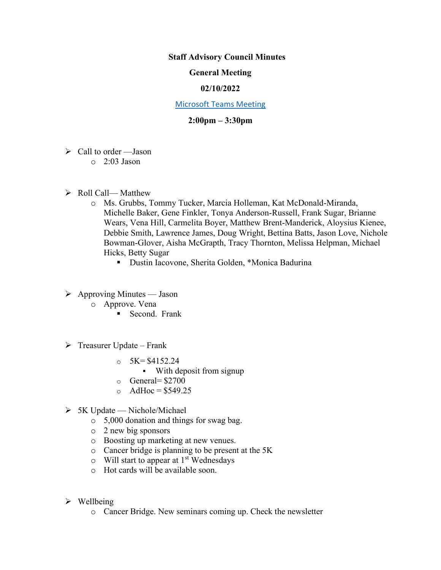## **Staff Advisory Council Minutes**

# **General Meeting**

### **02/10/2022**

#### [Microsoft Teams Meeting](https://nam05.safelinks.protection.outlook.com/ap/t-59584e83/?url=https%3A%2F%2Fteams.microsoft.com%2Fl%2Fmeetup-join%2F19%253ameeting_MzkxMmQzZTYtNGNiMi00YTJjLWI3MTMtOTlhMmNmOTE4Zjhj%2540thread.v2%2F0%3Fcontext%3D%257b%2522Tid%2522%253a%252260a9d377-c827-41a1-bbf0-1aad34db4c89%2522%252c%2522Oid%2522%253a%2522d493b17b-9cb3-43b8-b2df-d22f32aad747%2522%257d&data=02%7C01%7Cakienee1%40cscc.edu%7Cd9d721b99f4d408c215208d7647bc8db%7C60a9d377c82741a1bbf01aad34db4c89%7C0%7C0%7C637088355127916457&sdata=hlB7BeFFj4%2Fu5SHTbph%2BpYbfXevGFZ5zd4DxSsQlyzY%3D&reserved=0)

# **2:00pm – 3:30pm**

- $\triangleright$  Call to order Jason
	- $\circ$  2:03 Jason
- $\triangleright$  Roll Call— Matthew
	- o Ms. Grubbs, Tommy Tucker, Marcia Holleman, Kat McDonald-Miranda, Michelle Baker, Gene Finkler, Tonya Anderson-Russell, Frank Sugar, Brianne Wears, Vena Hill, Carmelita Boyer, Matthew Brent-Manderick, Aloysius Kienee, Debbie Smith, Lawrence James, Doug Wright, Bettina Batts, Jason Love, Nichole Bowman-Glover, Aisha McGrapth, Tracy Thornton, Melissa Helpman, Michael Hicks, Betty Sugar
		- Dustin Iacovone, Sherita Golden, \*Monica Badurina
- $\triangleright$  Approving Minutes Jason
	- o Approve. Vena
		- Second. Frank
- $\triangleright$  Treasurer Update Frank
	- $\circ$  5K= \$4152.24
		- With deposit from signup
	- $\circ$  General= \$2700
	- $\circ$  AdHoc = \$549.25
- $> 5K$  Update Nichole/Michael
	- o 5,000 donation and things for swag bag.
	- o 2 new big sponsors
	- o Boosting up marketing at new venues.
	- o Cancer bridge is planning to be present at the 5K
	- $\circ$  Will start to appear at 1<sup>st</sup> Wednesdays
	- o Hot cards will be available soon.
- $\triangleright$  Wellbeing
	- o Cancer Bridge. New seminars coming up. Check the newsletter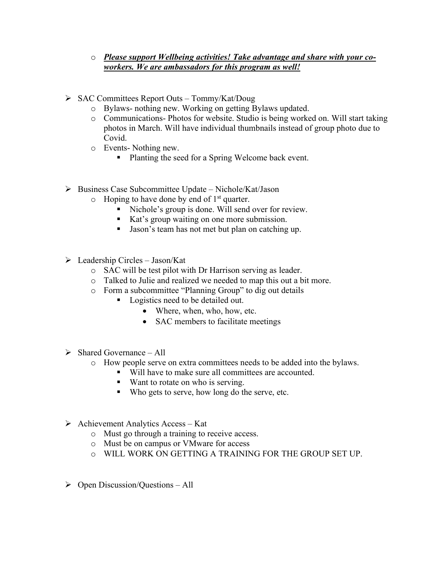# o *Please support Wellbeing activities! Take advantage and share with your coworkers. We are ambassadors for this program as well!*

- ➢ SAC Committees Report Outs Tommy/Kat/Doug
	- o Bylaws- nothing new. Working on getting Bylaws updated.
	- o Communications- Photos for website. Studio is being worked on. Will start taking photos in March. Will have individual thumbnails instead of group photo due to Covid.
	- o Events- Nothing new.
		- Planting the seed for a Spring Welcome back event.
- ➢ Business Case Subcommittee Update Nichole/Kat/Jason
	- $\circ$  Hoping to have done by end of 1<sup>st</sup> quarter.
		- Nichole's group is done. Will send over for review.
		- Kat's group waiting on one more submission.
		- Jason's team has not met but plan on catching up.
- $\triangleright$  Leadership Circles Jason/Kat
	- o SAC will be test pilot with Dr Harrison serving as leader.
	- o Talked to Julie and realized we needed to map this out a bit more.
	- o Form a subcommittee "Planning Group" to dig out details
		- Logistics need to be detailed out.
			- Where, when, who, how, etc.
			- SAC members to facilitate meetings
- $\triangleright$  Shared Governance All
	- o How people serve on extra committees needs to be added into the bylaws.
		- Will have to make sure all committees are accounted.
		- Want to rotate on who is serving.
		- Who gets to serve, how long do the serve, etc.
- $\triangleright$  Achievement Analytics Access Kat
	- o Must go through a training to receive access.
	- o Must be on campus or VMware for access
	- o WILL WORK ON GETTING A TRAINING FOR THE GROUP SET UP.
- $\triangleright$  Open Discussion/Questions All